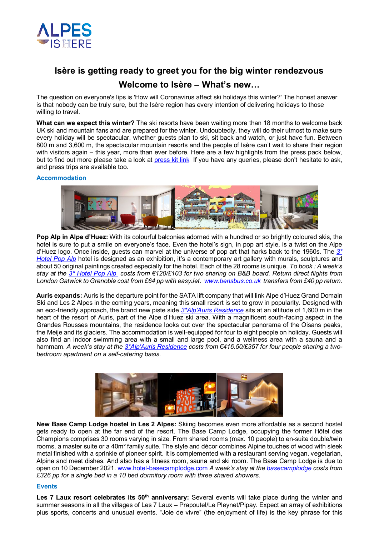

# **Isère is getting ready to greet you for the big winter rendezvous**

# **Welcome to Isère – What's new…**

The question on everyone's lips is 'How will Coronavirus affect ski holidays this winter?' The honest answer is that nobody can be truly sure, but the Isère region has every intention of delivering holidays to those willing to travel.

**What can we expect this winter?** The ski resorts have been waiting more than 18 months to welcome back UK ski and mountain fans and are prepared for the winter. Undoubtedly, they will do their utmost to make sure every holiday will be spectacular, whether guests plan to ski, sit back and watch, or just have fun. Between 800 m and 3,600 m, the spectacular mountain resorts and the people of Isère can't wait to share their region with visitors again – this year, more than ever before. Here are a few highlights from the press pack below, but to find out more please take a look at press kit link If you have any queries, please don't hesitate to ask, and press trips are available too.

## **Accommodation**



**Pop Alp in Alpe d'Huez:** With its colourful balconies adorned with a hundred or so brightly coloured skis, the hotel is sure to put a smile on everyone's face. Even the hotel's sign, in pop art style, is a twist on the Alpe d'Huez logo. Once inside, guests can marvel at the universe of pop art that harks back to the 1960s. The *3\* Hotel Pop Alp* hotel is designed as an exhibition, it's a contemporary art gallery with murals, sculptures and about 50 original paintings created especially for the hotel. Each of the 28 rooms is unique. *To book : A week's stay at the 3\* Hotel Pop Alp costs from €120/£103 for two sharing on B&B board. Return direct flights from London Gatwick to Grenoble cost from £64 pp with easyJet.  www.bensbus.co.uk transfers from £40 pp return.* 

**Auris expands:** Auris is the departure point for the SATA lift company that will link Alpe d'Huez Grand Domain Ski and Les 2 Alpes in the coming years, meaning this small resort is set to grow in popularity. Designed with an eco-friendly approach, the brand new piste side *3\*Alp'Auris Residence* sits at an altitude of 1,600 m in the heart of the resort of Auris, part of the Alpe d'Huez ski area. With a magnificent south-facing aspect in the Grandes Rousses mountains, the residence looks out over the spectacular panorama of the Oisans peaks, the Meije and its glaciers. The accommodation is well-equipped for four to eight people on holiday. Guests will also find an indoor swimming area with a small and large pool, and a wellness area with a sauna and a hammam. *A week's stay at the 3\*Alp'Auris Residence costs from €416.50/£357 for four people sharing a twobedroom apartment on a self-catering basis.* 



**New Base Camp Lodge hostel in Les 2 Alpes:** Skiing becomes even more affordable as a second hostel gets ready to open at the far end of the resort. The Base Camp Lodge, occupying the former Hôtel des Champions comprises 30 rooms varying in size. From shared rooms (max. 10 people) to en-suite double/twin rooms, a master suite or a 40m² family suite. The style and décor combines Alpine touches of wood with sleek metal finished with a sprinkle of pioneer spirit. It is complemented with a restaurant serving vegan, vegetarian, Alpine and meat dishes. And also has a fitness room, sauna and ski room. The Base Camp Lodge is due to open on 10 December 2021. www.hotel-basecamplodge.com *A week's stay at the basecamplodge costs from £326 pp for a single bed in a 10 bed dormitory room with three shared showers.* 

## **Events**

**Les 7 Laux resort celebrates its 50th anniversary:** Several events will take place during the winter and summer seasons in all the villages of Les 7 Laux – Prapoutel/Le Pleynet/Pipay. Expect an array of exhibitions plus sports, concerts and unusual events. "Joie de vivre" (the enjoyment of life) is the key phrase for this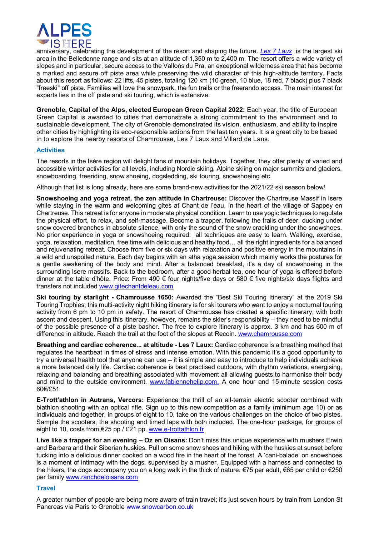

anniversary, celebrating the development of the resort and shaping the future. *Les 7 Laux* is the largest ski area in the Belledonne range and sits at an altitude of 1,350 m to 2,400 m. The resort offers a wide variety of slopes and in particular, secure access to the Vallons du Pra, an exceptional wilderness area that has become a marked and secure off piste area while preserving the wild character of this high-altitude territory. Facts about this resort as follows: 22 lifts, 45 pistes, totaling 120 km (10 green, 10 blue, 18 red, 7 black) plus 7 black "freeski" off piste. Families will love the snowpark, the fun trails or the freerando access. The main interest for experts lies in the off piste and ski touring, which is extensive.

**Grenoble, Capital of the Alps, elected European Green Capital 2022:** Each year, the title of European Green Capital is awarded to cities that demonstrate a strong commitment to the environment and to sustainable development. The city of Grenoble demonstrated its vision, enthusiasm, and ability to inspire other cities by highlighting its eco-responsible actions from the last ten years. It is a great city to be based in to explore the nearby resorts of Chamrousse, Les 7 Laux and Villard de Lans.

#### **Activities**

The resorts in the Isère region will delight fans of mountain holidays. Together, they offer plenty of varied and accessible winter activities for all levels, including Nordic skiing, Alpine skiing on major summits and glaciers, snowboarding, freeriding, snow shoeing, dogsledding, ski touring, snowshoeing etc.

Although that list is long already, here are some brand-new activities for the 2021/22 ski season below!

**Snowshoeing and yoga retreat, the zen attitude in Chartreuse:** Discover the Chartreuse Massif in Isere while staying in the warm and welcoming gites at Chant de l'eau, in the heart of the village of Sappey en Chartreuse. This retreat is for anyone in moderate physical condition. Learn to use yogic techniques to regulate the physical effort, to relax, and self-massage. Become a trapper, following the trails of deer, ducking under snow covered branches in absolute silence, with only the sound of the snow crackling under the snowshoes. No prior experience in yoga or snowshoeing required: all techniques are easy to learn. Walking, exercise, yoga, relaxation, meditation, free time with delicious and healthy food… all the right ingredients for a balanced and rejuvenating retreat. Choose from five or six days with relaxation and positive energy in the mountains in a wild and unspoiled nature. Each day begins with an atha yoga session which mainly works the postures for a gentle awakening of the body and mind. After a balanced breakfast, it's a day of snowshoeing in the surrounding Isere massifs. Back to the bedroom, after a good herbal tea, one hour of yoga is offered before dinner at the table d'hôte. Price: From 490 € four nights/five days or 580 € five nights/six days flights and transfers not included www.gitechantdeleau.com

**Ski touring by starlight - Chamrousse 1650:** Awarded the "Best Ski Touring Itinerary" at the 2019 Ski Touring Trophies, this multi-activity night hiking itinerary is for ski tourers who want to enjoy a nocturnal touring activity from 6 pm to 10 pm in safety. The resort of Chamrousse has created a specific itinerary, with both ascent and descent. Using this itinerary, however, remains the skier's responsibility – they need to be mindful of the possible presence of a piste basher. The free to explore itinerary is approx. 3 km and has 600 m of difference in altitude. Reach the trail at the foot of the slopes at Recoin. www.chamrousse.com

**Breathing and cardiac coherence... at altitude - Les 7 Laux:** Cardiac coherence is a breathing method that regulates the heartbeat in times of stress and intense emotion. With this pandemic it's a good opportunity to try a universal health tool that anyone can use – it is simple and easy to introduce to help individuals achieve a more balanced daily life. Cardiac coherence is best practised outdoors, with rhythm variations, energising, relaxing and balancing and breathing associated with movement all allowing guests to harmonise their body and mind to the outside environment. www.fabiennehelip.com. A one hour and 15-minute session costs 60€/£51

**E-Trott'athlon in Autrans, Vercors:** Experience the thrill of an all-terrain electric scooter combined with biathlon shooting with an optical rifle. Sign up to this new competition as a family (minimum age 10) or as individuals and together, in groups of eight to 10, take on the various challenges on the choice of two pistes. Sample the scooters, the shooting and timed laps with both included. The one-hour package, for groups of eight to 10, costs from €25 pp / £21 pp. www.e-trottathlon.fr

**Live like a trapper for an evening – Oz en Oisans:** Don't miss this unique experience with mushers Erwin and Barbara and their Siberian huskies. Pull on some snow shoes and hiking with the huskies at sunset before tucking into a delicious dinner cooked on a wood fire in the heart of the forest. A 'cani-balade' on snowshoes is a moment of intimacy with the dogs, supervised by a musher. Equipped with a harness and connected to the hikers, the dogs accompany you on a long walk in the thick of nature. €75 per adult, €65 per child or €250 per family www.ranchdeloisans.com

## **Travel**

A greater number of people are being more aware of train travel; it's just seven hours by train from London St Pancreas via Paris to Grenoble www.snowcarbon.co.uk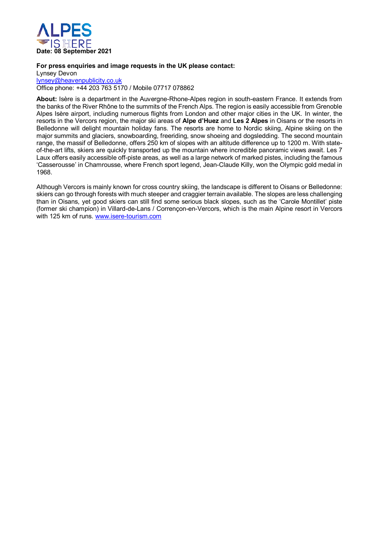

#### **For press enquiries and image requests in the UK please contact:**

Lynsey Devon lynsey@heavenpublicity.co.uk

Office phone: +44 203 763 5170 / Mobile 07717 078862

**About:** Isère is a department in the Auvergne-Rhone-Alpes region in south-eastern France. It extends from the banks of the River Rhône to the summits of the French Alps. The region is easily accessible from Grenoble Alpes Isère airport, including numerous flights from London and other major cities in the UK. In winter, the resorts in the Vercors region, the major ski areas of **Alpe d'Huez** and **Les 2 Alpes** in Oisans or the resorts in Belledonne will delight mountain holiday fans. The resorts are home to Nordic skiing, Alpine skiing on the major summits and glaciers, snowboarding, freeriding, snow shoeing and dogsledding. The second mountain range, the massif of Belledonne, offers 250 km of slopes with an altitude difference up to 1200 m. With stateof-the-art lifts, skiers are quickly transported up the mountain where incredible panoramic views await. Les 7 Laux offers easily accessible off-piste areas, as well as a large network of marked pistes, including the famous 'Casserousse' in Chamrousse, where French sport legend, Jean-Claude Killy, won the Olympic gold medal in 1968.

Although Vercors is mainly known for cross country skiing, the landscape is different to Oisans or Belledonne: skiers can go through forests with much steeper and craggier terrain available. The slopes are less challenging than in Oisans, yet good skiers can still find some serious black slopes, such as the 'Carole Montillet' piste (former ski champion) in Villard-de-Lans / Corrençon-en-Vercors, which is the main Alpine resort in Vercors with 125 km of runs. www.isere-tourism.com